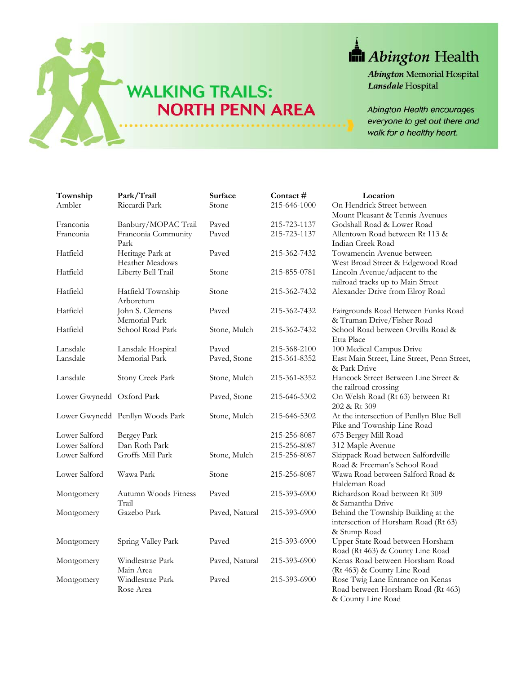

## Abington Health

**Abington Memorial Hospital** Lansdale Hospital

Abington Health encourages everyone to get out there and walk for a healthy heart.

| Township                  | Park/Trail                       | <b>Surface</b> | Contact #    | Location                                         |
|---------------------------|----------------------------------|----------------|--------------|--------------------------------------------------|
| Ambler                    | Riccardi Park                    | Stone          | 215-646-1000 | On Hendrick Street between                       |
|                           |                                  |                |              | Mount Pleasant & Tennis Avenues                  |
| Franconia                 | Banbury/MOPAC Trail              | Paved          | 215-723-1137 | Godshall Road & Lower Road                       |
| Franconia                 | Franconia Community              | Paved          | 215-723-1137 | Allentown Road between Rt 113 &                  |
|                           | Park                             |                |              | Indian Creek Road                                |
| Hatfield                  | Heritage Park at                 | Paved          | 215-362-7432 | Towamencin Avenue between                        |
|                           | Heather Meadows                  |                |              | West Broad Street & Edgewood Road                |
| Hatfield                  | Liberty Bell Trail               | Stone          | 215-855-0781 | Lincoln Avenue/adjacent to the                   |
|                           |                                  |                |              | railroad tracks up to Main Street                |
| Hatfield                  | Hatfield Township                | Stone          | 215-362-7432 | Alexander Drive from Elroy Road                  |
|                           | Arboretum                        |                |              |                                                  |
| Hatfield                  | John S. Clemens                  | Paved          | 215-362-7432 | Fairgrounds Road Between Funks Road              |
|                           | Memorial Park                    |                |              | & Truman Drive/Fisher Road                       |
| Hatfield                  | School Road Park                 | Stone, Mulch   | 215-362-7432 | School Road between Orvilla Road &               |
|                           |                                  |                |              | Etta Place                                       |
| Lansdale                  | Lansdale Hospital                | Paved          | 215-368-2100 | 100 Medical Campus Drive                         |
| Lansdale                  | Memorial Park                    | Paved, Stone   | 215-361-8352 | East Main Street, Line Street, Penn Street,      |
|                           |                                  |                |              | & Park Drive                                     |
| Lansdale                  | Stony Creek Park                 | Stone, Mulch   | 215-361-8352 | Hancock Street Between Line Street &             |
|                           |                                  |                |              | the railroad crossing                            |
| Lower Gwynedd Oxford Park |                                  | Paved, Stone   | 215-646-5302 | On Welsh Road (Rt 63) between Rt<br>202 & Rt 309 |
|                           |                                  |                |              | At the intersection of Penllyn Blue Bell         |
|                           | Lower Gwynedd Penllyn Woods Park | Stone, Mulch   | 215-646-5302 | Pike and Township Line Road                      |
| Lower Salford             | <b>Bergey Park</b>               |                | 215-256-8087 | 675 Bergey Mill Road                             |
| Lower Salford             | Dan Roth Park                    |                | 215-256-8087 | 312 Maple Avenue                                 |
| Lower Salford             | Groffs Mill Park                 | Stone, Mulch   | 215-256-8087 | Skippack Road between Salfordville               |
|                           |                                  |                |              | Road & Freeman's School Road                     |
| Lower Salford             | Wawa Park                        | Stone          | 215-256-8087 | Wawa Road between Salford Road &                 |
|                           |                                  |                |              | Haldeman Road                                    |
| Montgomery                | Autumn Woods Fitness             | Paved          | 215-393-6900 | Richardson Road between Rt 309                   |
|                           | Trail                            |                |              | & Samantha Drive                                 |
| Montgomery                | Gazebo Park                      | Paved, Natural | 215-393-6900 | Behind the Township Building at the              |
|                           |                                  |                |              | intersection of Horsham Road (Rt 63)             |
|                           |                                  |                |              | & Stump Road                                     |
| Montgomery                | Spring Valley Park               | Payed          | 215-393-6900 | Upper State Road between Horsham                 |
|                           |                                  |                |              | Road (Rt 463) & County Line Road                 |
| Montgomery                | Windlestrae Park                 | Paved, Natural | 215-393-6900 | Kenas Road between Horsham Road                  |
|                           | Main Area                        |                |              | (Rt 463) & County Line Road                      |
| Montgomery                | Windlestrae Park                 | Paved          | 215-393-6900 | Rose Twig Lane Entrance on Kenas                 |
|                           | Rose Area                        |                |              | Road between Horsham Road (Rt 463)               |
|                           |                                  |                |              | & County Line Road                               |